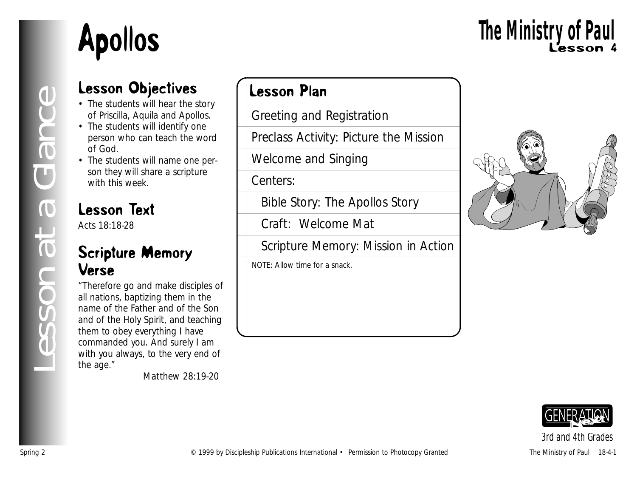

# Lesson 4 **The Ministry of Paul**

### Lesson Objectives

- The students will hear the story of Priscilla, Aquila and Apollos.
- The students will identify one person who can teach the word of God.
- The students will name one person they will share a scripture with this week.

### Lesson Text

Acts 18:18-28

#### Scripture Memory Verse

"Therefore go and make disciples of all nations, baptizing them in the name of the Father and of the Son and of the Holy Spirit, and teaching them to obey everything I have commanded you. And surely I am with you always, to the very end of the age."

*Matthew 28:19-20*

### Lesson Plan

Greeting and Registration

Preclass Activity: Picture the Mission

Welcome and Singing

Centers:

Bible Story: The Apollos Story

Craft: Welcome Mat

Scripture Memory: Mission in Action

NOTE: Allow time for a snack.





*3rd and 4th Grades*

*Lesson at a Glance*

esson at a Glance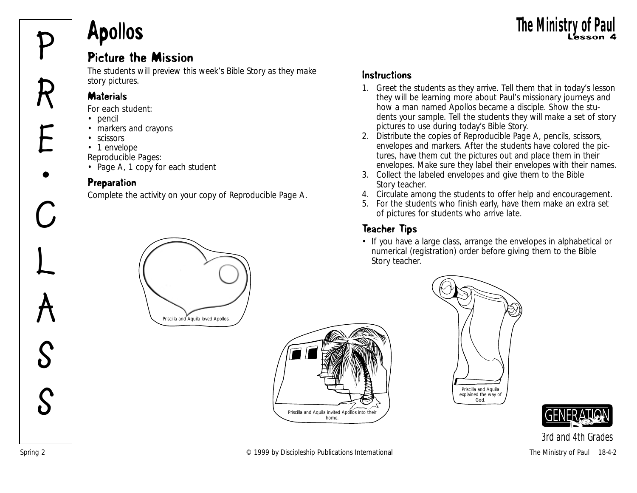## Apollos The Ministry of Paul

### Picture the Mission **Physical Properties Ministry of Paul Picture the Mission 4**<br>Picture the Mission

The students will preview this week's Bible Story as they make story pictures.

#### **Materials**

*For each student:*

• pencil

**R**

**E**

**•**

**C**

**L**

**A**

**S**

- markers and crayons
- scissors
- 1 envelope

*Reproducible Pages:*

• Page A, 1 copy for each student

#### Preparation

Complete the activity on your copy of Reproducible Page A.



Priscilla and Aquila invited Apollos into their their their their their their their their their their their their their their their their their their their their their their their their their their their their their their

- 1. Greet the students as they arrive. Tell them that in today's lesson they will be learning more about Paul's missionary journeys and how a man named Apollos became a disciple. Show the students your sample. Tell the students they will make a set of story pictures to use during today's Bible Story.
- 2. Distribute the copies of Reproducible Page A, pencils, scissors, envelopes and markers. After the students have colored the pictures, have them cut the pictures out and place them in their envelopes. Make sure they label their envelopes with their names.
- 3. Collect the labeled envelopes and give them to the Bible Story teacher.
- 4. Circulate among the students to offer help and encouragement.
- 5. For the students who finish early, have them make an extra set of pictures for students who arrive late.

#### Teacher Tips

• If you have a large class, arrange the envelopes in alphabetical or numerical (registration) order before giving them to the Bible Story teacher.





*3rd and 4th Grades*



home.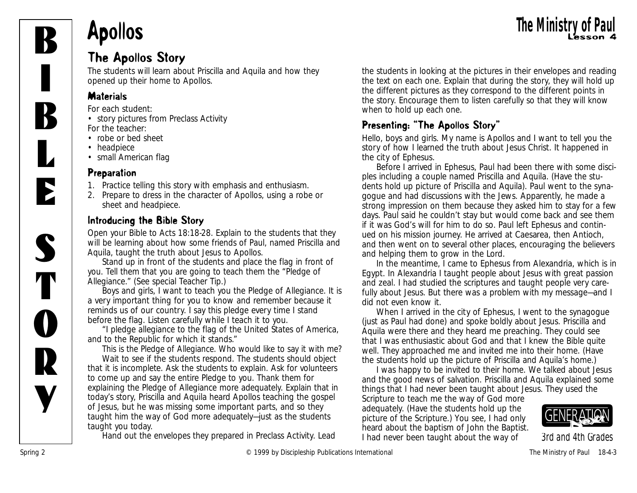

## Apollos The Ministry of Paul

#### The Apollos Story

The students will learn about Priscilla and Aquila and how they opened up their home to Apollos.

#### **Materials**

*For each student:*

• story pictures from Preclass Activity *For the teacher:*

- robe or bed sheet
- headpiece

• small American flag

#### Preparation

- 1. Practice telling this story with emphasis and enthusiasm.
- 2. Prepare to dress in the character of Apollos, using a robe or sheet and headpiece.

#### Introducing the Bible Story

Open your Bible to Acts 18:18-28. Explain to the students that they will be learning about how some friends of Paul, named Priscilla and Aquila, taught the truth about Jesus to Apollos.

Stand up in front of the students and place the flag in front of you. Tell them that you are going to teach them the "Pledge of Allegiance." (See special Teacher Tip.)

*Boys and girls, I want to teach you the Pledge of Allegiance. It is a very important thing for you to know and remember because it reminds us of our country. I say this pledge every time I stand before the flag. Listen carefully while I teach it to you.*

"*I pledge allegiance to the flag of the United States of America, and to the Republic for which it stands."*

*This is the Pledge of Allegiance. Who would like to say it with me?*  Wait to see if the students respond. The students should object that it is incomplete. Ask the students to explain. Ask for volunteers to come up and say the entire Pledge to you. Thank them for explaining the Pledge of Allegiance more adequately. Explain that in today's story, Priscilla and Aquila heard Apollos teaching the gospel of Jesus, but he was missing some important parts, and so they taught him the way of God more adequately—just as the students taught you today.

Hand out the envelopes they prepared in Preclass Activity. Lead

the students in looking at the pictures in their envelopes and reading the text on each one. Explain that during the story, they will hold up the different pictures as they correspond to the different points in the story. Encourage them to listen carefully so that they will know when to hold up each one.

#### Presenting: "The Apollos Story"

*Hello, boys and girls. My name is Apollos and I want to tell you the story of how I learned the truth about Jesus Christ. It happened in the city of Ephesus.*

*Before I arrived in Ephesus, Paul had been there with some disciples including a couple named Priscilla and Aquila.* (Have the students hold up picture of Priscilla and Aquila). *Paul went to the synagogue and had discussions with the Jews. Apparently, he made a strong impression on them because they asked him to stay for a few days. Paul said he couldn't stay but would come back and see them if it was God's will for him to do so. Paul left Ephesus and continued on his mission journey. He arrived at Caesarea, then Antioch, and then went on to several other places, encouraging the believers and helping them to grow in the Lord.*

*In the meantime, I came to Ephesus from Alexandria, which is in Egypt. In Alexandria I taught people about Jesus with great passion and zeal. I had studied the scriptures and taught people very carefully about Jesus. But there was a problem with my message—and I did not even know it.*

*When I arrived in the city of Ephesus, I went to the synagogue (just as Paul had done) and spoke boldly about Jesus. Priscilla and Aquila were there and they heard me preaching. They could see that I was enthusiastic about God and that I knew the Bible quite well. They approached me and invited me into their home.* (Have the students hold up the picture of Priscilla and Aquila's home.)

*I was happy to be invited to their home. We talked about Jesus and the good news of salvation. Priscilla and Aquila explained some things that I had never been taught about Jesus. They used the*

*Scripture to teach me the way of God more adequately.* (Have the students hold up the picture of the Scripture.) *You see, I had only heard about the baptism of John the Baptist. I had never been taught about the way of*

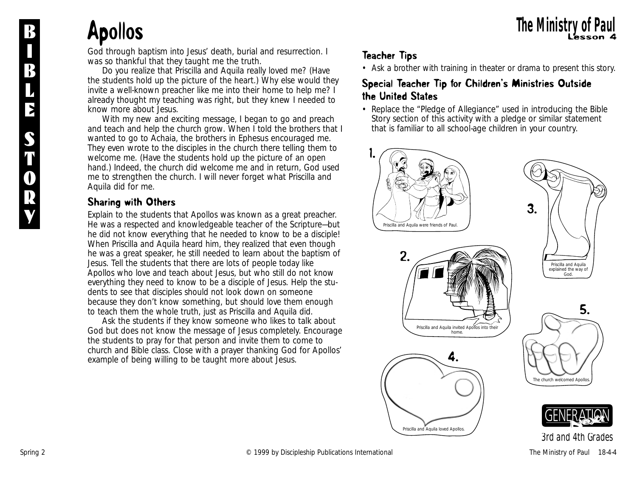#### Apollos The Ministry of Paul **B** The Ministry of Paul

*God through baptism into Jesus' death, burial and resurrection. I was so thankful that they taught me the truth.*

*Do you realize that Priscilla and Aquila really loved me?* (Have the students hold up the picture of the heart.) *Why else would they invite a well-known preacher like me into their home to help me? I already thought my teaching was right, but they knew I needed to know more about Jesus.*

*With my new and exciting message, I began to go and preach and teach and help the church grow. When I told the brothers that I wanted to go to Achaia, the brothers in Ephesus encouraged me. They even wrote to the disciples in the church there telling them to welcome me.* (Have the students hold up the picture of an open hand.) *Indeed, the church did welcome me and in return, God used me to strengthen the church. I will never forget what Priscilla and Aquila did for me.*

#### Sharing with Others

Explain to the students that Apollos was known as a great preacher. He was a respected and knowledgeable teacher of the Scripture—but he did not know everything that he needed to know to be a disciple! When Priscilla and Aquila heard him, they realized that even though he was a great speaker, he still needed to learn about the baptism of Jesus. Tell the students that there are lots of people today like Apollos who love and teach about Jesus, but who still do not know everything they need to know to be a disciple of Jesus. Help the students to see that disciples should not look down on someone because they don't know something, but should love them enough to teach them the whole truth, just as Priscilla and Aquila did.

Ask the students if they know someone who likes to talk about God but does not know the message of Jesus completely. Encourage the students to pray for that person and invite them to come to church and Bible class. Close with a prayer thanking God for Apollos' example of being willing to be taught more about Jesus.

#### Teacher Tips

• Ask a brother with training in theater or drama to present this story.

#### Special Teacher Tip for Children's Ministries Outside the United States

• Replace the "Pledge of Allegiance" used in introducing the Bible Story section of this activity with a pledge or similar statement that is familiar to all school-age children in your country.



Priscilla and Aquila loved Apollos.



Spring 2 Contract Contract Contract Contract Contract Contract Contract Contract Contract Contract Contract Contract Contract Contract Contract Contract Contract Contract Contract Contract Contract Contract Contract Contra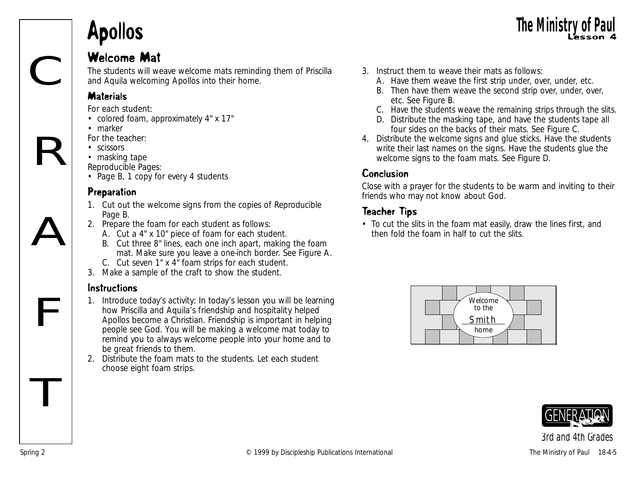## Apollos The Ministry of Paul

#### Welcome Mat

The students will weave welcome mats reminding them of Priscilla and Aquila welcoming Apollos into their home.

#### **Materials**

*For each student:*

- colored foam, approximately 4" x 17"
- marker

*For the teacher:*

- scissors
- masking tape

*Reproducible Pages:* 

• Page B, 1 copy for every 4 students

#### Preparation

- 1. Cut out the welcome signs from the copies of Reproducible Page B.
- 2. Prepare the foam for each student as follows:
	- A. Cut a 4" x 10" piece of foam for each student.
	- B. Cut three 8" lines, each one inch apart, making the foam mat. Make sure you leave a one-inch border. See Figure A.
	- C. Cut seven 1" x 4" foam strips for each student.
- 3. Make a sample of the craft to show the student.

#### **Instructions**

F

T

C

R

A

- 1. Introduce today's activity: *In today's lesson you will be learning how Priscilla and Aquila's friendship and hospitality helped Apollos become a Christian. Friendship is important in helping people see God. You will be making a welcome mat today to remind you to always welcome people into your home and to be great friends to them.*
- 2. Distribute the foam mats to the students. Let each student choose eight foam strips.
- 3. Instruct them to weave their mats as follows:
	- A. Have them weave the first strip under, over, under, etc.
	- B. Then have them weave the second strip over, under, over, etc. See Figure B.
	- C. Have the students weave the remaining strips through the slits.

**The Ministry of Pa** 

- D. Distribute the masking tape, and have the students tape all four sides on the backs of their mats. See Figure C.
- 4. Distribute the welcome signs and glue sticks. Have the students write their last names on the signs. Have the students glue the welcome signs to the foam mats. See Figure D.

#### Conclusion

Close with a prayer for the students to be warm and inviting to their friends who may not know about God.

#### Teacher Tips

• To cut the slits in the foam mat easily, draw the lines first, and then fold the foam in half to cut the slits.



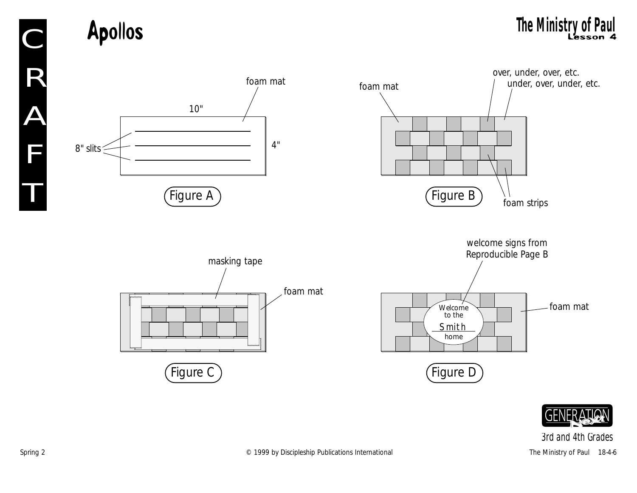**Example 1** The Ministry of Paul The Ministry of Paul Lesson 4



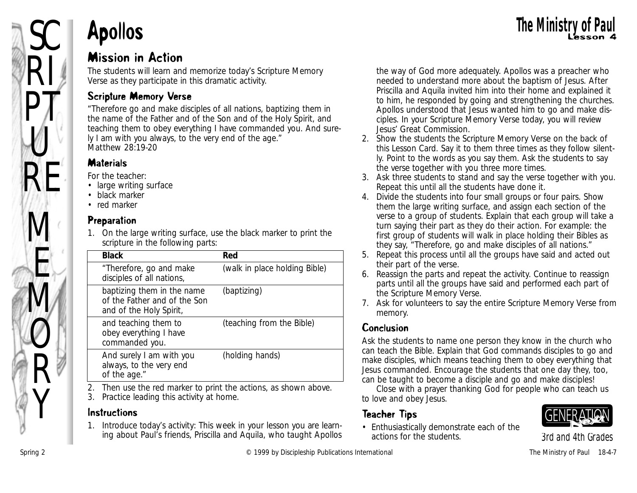

RI

 $PT_c$ 

 $\bigcup$ 

RE

M

k.<br>M

M

 $\mathcal O$ 

R

Y

#### Mission in Action

The students will learn and memorize today's Scripture Memory Verse as they participate in this dramatic activity.

#### Scripture Memory Verse

"Therefore go and make disciples of all nations, baptizing them in the name of the Father and of the Son and of the Holy Spirit, and teaching them to obey everything I have commanded you. And surely I am with you always, to the very end of the age." *Matthew 28:19-20*

#### **Materials**

*For the teacher:*

- large writing surface
- black marker
- red marker

#### Preparation

1. On the large writing surface, use the black marker to print the scripture in the following parts:

| <b>Black</b>                                                                          | Red                           |
|---------------------------------------------------------------------------------------|-------------------------------|
| "Therefore, go and make<br>disciples of all nations,                                  | (walk in place holding Bible) |
| baptizing them in the name<br>of the Father and of the Son<br>and of the Holy Spirit, | (baptizing)                   |
| and teaching them to<br>obey everything I have<br>commanded you.                      | (teaching from the Bible)     |
| And surely I am with you<br>always, to the very end<br>of the age."                   | (holding hands)               |

2. Then use the red marker to print the actions, as shown above.

3. Practice leading this activity at home.

#### Instructions

1. Introduce today's activity: *This week in your lesson you are learning about Paul's friends, Priscilla and Aquila, who taught Apollos* *the way of God more adequately. Apollos was a preacher who needed to understand more about the baptism of Jesus. After Priscilla and Aquila invited him into their home and explained it to him, he responded by going and strengthening the churches. Apollos understood that Jesus wanted him to go and make disciples. In your Scripture Memory Verse today, you will review Jesus' Great Commission.*

- 2. Show the students the Scripture Memory Verse on the back of this Lesson Card. Say it to them three times as they follow silently. Point to the words as you say them. Ask the students to say the verse together with you three more times.
- 3. Ask three students to stand and say the verse together with you. Repeat this until all the students have done it.
- 4. Divide the students into four small groups or four pairs. Show them the large writing surface, and assign each section of the verse to a group of students. Explain that each group will take a turn saying their part as they do their action. For example: the first group of students will walk in place holding their Bibles as they say, "Therefore, go and make disciples of all nations."
- 5. Repeat this process until all the groups have said and acted out their part of the verse.
- 6. Reassign the parts and repeat the activity. Continue to reassign parts until all the groups have said and performed each part of the Scripture Memory Verse.
- 7. Ask for volunteers to say the entire Scripture Memory Verse from memory.

#### Conclusion

Ask the students to name one person they know in the church who can teach the Bible. Explain that God commands disciples to go and make disciples, which means teaching them to obey everything that Jesus commanded. Encourage the students that one day they, too, can be taught to become a disciple and go and make disciples!

Close with a prayer thanking God for people who can teach us to love and obey Jesus.

#### Teacher Tips

• Enthusiastically demonstrate each of the actions for the students.

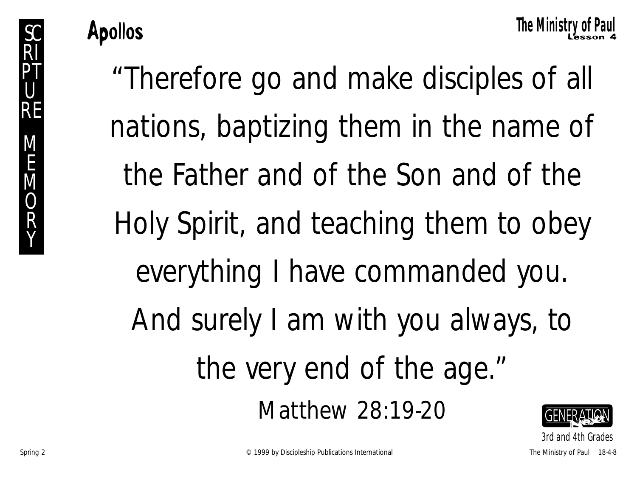Apollos The Ministry of Paul **Apollos** The Ministry

*3rd and 4th Grades*

"Therefore go and make disciples of all nations, baptizing them in the name of the Father and of the Son and of the Holy Spirit, and teaching them to obey everything I have commanded you. And surely I am with you always, to the very end of the age." Matthew 28:19-20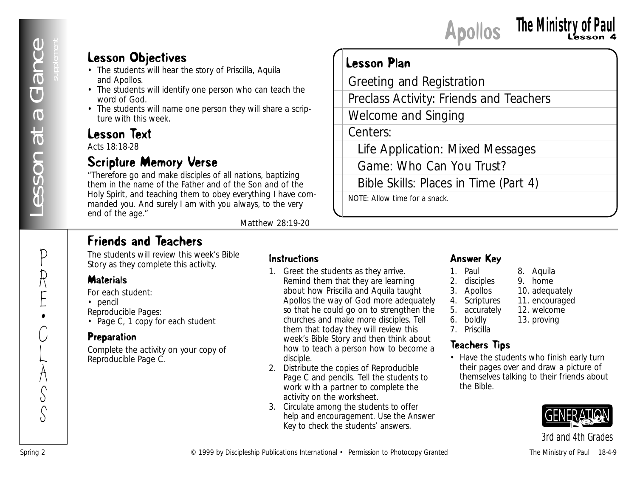P

R

E

•

C

L

 $\sum_{i=1}^{n}$ S

S

#### Lesson Objectives

- The students will hear the story of Priscilla, Aquila and Apollos.
- The students will identify one person who can teach the word of God.
- The students will name one person they will share a scripture with this week.

#### Lesson Text

Acts 18:18-28

#### Scripture Memory Verse

"Therefore go and make disciples of all nations, baptizing them in the name of the Father and of the Son and of the Holy Spirit, and teaching them to obey everything I have commanded you. And surely I am with you always, to the very end of the age."

*Matthew 28:19-20*

#### Friends and Teachers

The students will review this week's Bible Story as they complete this activity.

#### **Materials**

*For each student:*

• pencil

*Reproducible Pages:*

• Page C, 1 copy for each student

#### Preparation

Complete the activity on your copy of Reproducible Page C.

#### Instructions

**Lesson Objectives**<br> **Construction** and the publication<br> **Construction** and Hendrication<br> **Constructional value of Publication**<br> **Constructional value of Publication**<br> **Constructional value of Paul 18-4-9**<br> **Constructional** 1. Greet the students as they arrive. Remind them that they are learning about how Priscilla and Aquila taught Apollos the way of God more adequately so that he could go on to strengthen the churches and make more disciples. Tell them that today they will review this week's Bible Story and then think about how to teach a person how to become a disciple.

Lesson Plan

Centers:

Greeting and Registration

Welcome and Singing

NOTE: Allow time for a snack.

Preclass Activity: Friends and Teachers

Life Application: Mixed Messages

Bible Skills: Places in Time (Part 4)

Game: Who Can You Trust?

- 2. Distribute the copies of Reproducible Page C and pencils. Tell the students to work with a partner to complete the activity on the worksheet.
- 3. Circulate among the students to offer help and encouragement. Use the Answer Key to check the students' answers.

#### Answer Key

- 1. Paul 8. Aquila<br>2. disciples 9. home
- 2. disciples
- 3. Apollos 10. adequately
- 4. Scriptures 11. encouraged<br>5. accurately 12. welcome 5. accurately
- 6. boldly 13. proving
- 7. Priscilla

#### Teachers Tips

• Have the students who finish early turn their pages over and draw a picture of themselves talking to their friends about the Bible.

Apollos Lesson 4 **The Ministry of Paul**

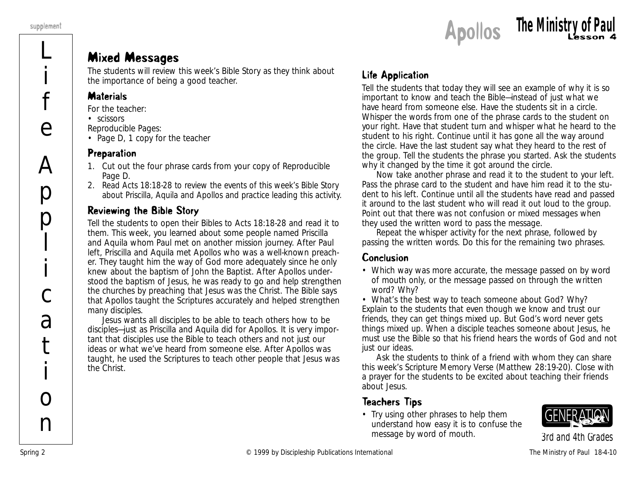

#### Mixed Messages

The students will review this week's Bible Story as they think about the importance of being a good teacher.

#### **Materials**

*For the teacher:*

- scissors
- *Reproducible Pages:*
- Page D, 1 copy for the teacher

#### Preparation

- 1. Cut out the four phrase cards from your copy of Reproducible Page D.
- 2. Read Acts 18:18-28 to review the events of this week's Bible Story about Priscilla, Aquila and Apollos and practice leading this activity.

#### Reviewing the Bible Story

Tell the students to open their Bibles to Acts 18:18-28 and read it to them. *This week, you learned about some people named Priscilla and Aquila whom Paul met on another mission journey. After Paul left, Priscilla and Aquila met Apollos who was a well-known preacher. They taught him the way of God more adequately since he only knew about the baptism of John the Baptist. After Apollos understood the baptism of Jesus, he was ready to go and help strengthen the churches by preaching that Jesus was the Christ. The Bible says that Apollos taught the Scriptures accurately and helped strengthen many disciples.*

*Jesus wants all disciples to be able to teach others how to be disciples—just as Priscilla and Aquila did for Apollos. It is very important that disciples use the Bible to teach others and not just our ideas or what we've heard from someone else. After Apollos was taught, he used the Scriptures to teach other people that Jesus was the Christ.*

#### Life Application

Tell the students that today they will see an example of why it is so important to know and teach the Bible—instead of just what we have heard from someone else. Have the students sit in a circle. Whisper the words from one of the phrase cards to the student on your right. Have that student turn and whisper what he heard to the student to his right. Continue until it has gone all the way around the circle. Have the last student say what they heard to the rest of the group. Tell the students the phrase you started. Ask the students why it changed by the time it got around the circle.

Now take another phrase and read it to the student to your left. Pass the phrase card to the student and have him read it to the student to his left. Continue until all the students have read and passed it around to the last student who will read it out loud to the group. Point out that there was not confusion or mixed messages when they used the written word to pass the message.

Repeat the whisper activity for the next phrase, followed by passing the written words. Do this for the remaining two phrases.

#### Conclusion

• *Which way was more accurate, the message passed on by word of mouth only, or the message passed on through the written word? Why?*

• *What's the best way to teach someone about God? Why?* Explain to the students that even though we know and trust our friends, they can get things mixed up. But God's word never gets things mixed up. When a disciple teaches someone about Jesus, he must use the Bible so that his friend hears the words of God and not just our ideas.

Ask the students to think of a friend with whom they can share this week's Scripture Memory Verse (Matthew 28:19-20). Close with a prayer for the students to be excited about teaching their friends about Jesus.

#### Teachers Tips

• Try using other phrases to help them understand how easy it is to confuse the message by word of mouth.

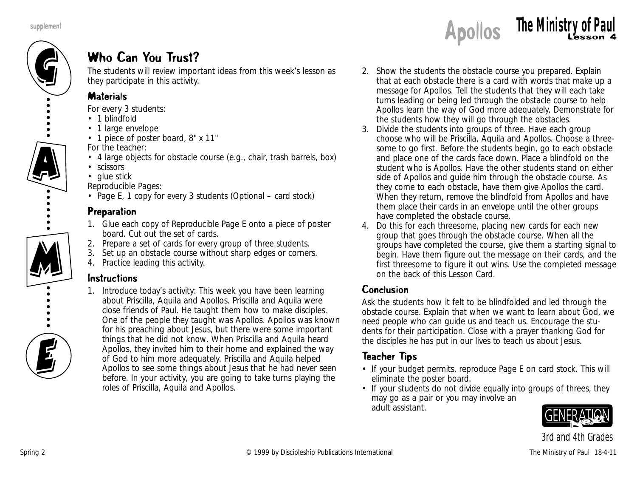

#### Who Can You Trust?

The students will review important ideas from this week's lesson as they participate in this activity.

#### **Materials**

*For every 3 students:*

- 1 blindfold
- 1 large envelope
- 1 piece of poster board, 8" x 11"

*For the teacher:*

- 4 large objects for obstacle course (e.g., chair, trash barrels, box)
- scissors
- glue stick

*Reproducible Pages:*

• Page E, 1 copy for every 3 students (Optional – card stock)

#### Preparation

- 1. Glue each copy of Reproducible Page E onto a piece of poster board. Cut out the set of cards.
- 2. Prepare a set of cards for every group of three students.
- 3. Set up an obstacle course without sharp edges or corners.
- 4. Practice leading this activity.

#### **Instructions**

1. Introduce today's activity: *This week you have been learning about Priscilla, Aquila and Apollos. Priscilla and Aquila were close friends of Paul. He taught them how to make disciples. One of the people they taught was Apollos. Apollos was known for his preaching about Jesus, but there were some important things that he did not know. When Priscilla and Aquila heard Apollos, they invited him to their home and explained the way of God to him more adequately. Priscilla and Aquila helped Apollos to see some things about Jesus that he had never seen before. In your activity, you are going to take turns playing the roles of Priscilla, Aquila and Apollos.* 

- 2. Show the students the obstacle course you prepared. Explain that at each obstacle there is a card with words that make up a message for Apollos. Tell the students that they will each take turns leading or being led through the obstacle course to help Apollos learn the way of God more adequately. Demonstrate for the students how they will go through the obstacles.
- 3. Divide the students into groups of three. Have each group choose who will be Priscilla, Aquila and Apollos. Choose a threesome to go first. Before the students begin, go to each obstacle and place one of the cards face down. Place a blindfold on the student who is Apollos. Have the other students stand on either side of Apollos and guide him through the obstacle course. As they come to each obstacle, have them give Apollos the card. When they return, remove the blindfold from Apollos and have them place their cards in an envelope until the other groups have completed the obstacle course.
- 4. Do this for each threesome, placing new cards for each new group that goes through the obstacle course. When all the groups have completed the course, give them a starting signal to begin. Have them figure out the message on their cards, and the first threesome to figure it out wins. Use the completed message on the back of this Lesson Card.

#### Conclusion

Ask the students how it felt to be blindfolded and led through the obstacle course. Explain that when we want to learn about God, we need people who can guide us and teach us. Encourage the students for their participation. Close with a prayer thanking God for the disciples he has put in our lives to teach us about Jesus.

#### Teacher Tips

- If your budget permits, reproduce Page E on card stock. This will eliminate the poster board.
- If your students do not divide equally into groups of threes, they may go as a pair or you may involve an adult assistant.

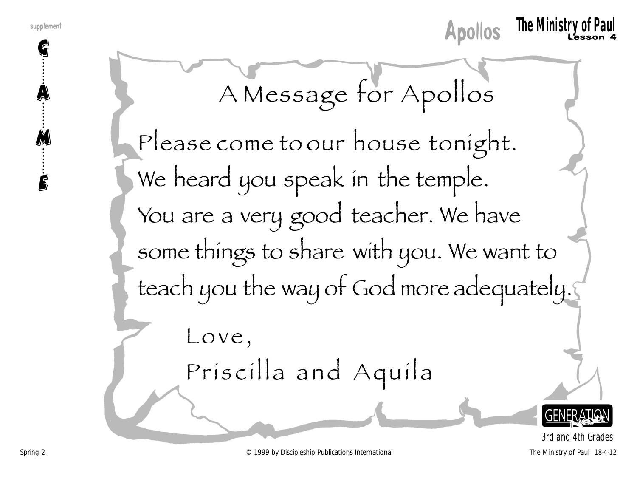G

A

M

E



A Message for Apollos

Please come to our house tonight. We heard you speak in the temple. You are a very good teacher. We have some things to share with you. We want to teach you the way of God more adequately.

> Love, Priscilla and Aquila

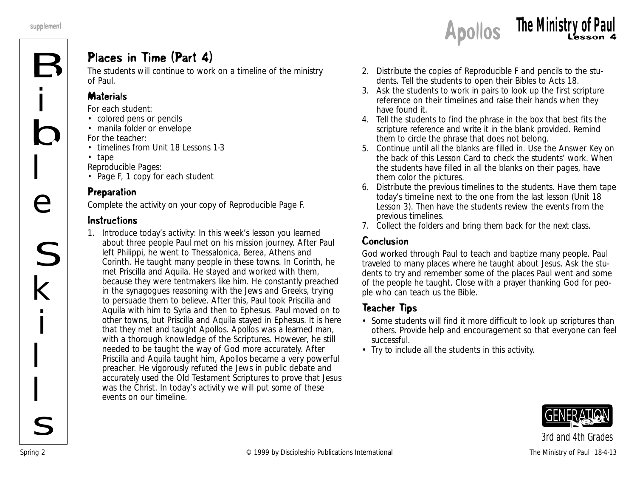#### Places in Time (Part 4)

The students will continue to work on a timeline of the ministry of Paul.

#### **Materials**

*For each student:*

- colored pens or pencils
- manila folder or envelope *For the teacher:*
- timelines from Unit 18 Lessons 1-3
- tape

*Reproducible Pages:*

• Page F, 1 copy for each student

#### Preparation

Complete the activity on your copy of Reproducible Page F.

#### Instructions

1. Introduce today's activity: *In this week's lesson you learned about three people Paul met on his mission journey. After Paul left Philippi, he went to Thessalonica, Berea, Athens and Corinth. He taught many people in these towns. In Corinth, he met Priscilla and Aquila. He stayed and worked with them, because they were tentmakers like him. He constantly preached in the synagogues reasoning with the Jews and Greeks, trying to persuade them to believe. After this, Paul took Priscilla and Aquila with him to Syria and then to Ephesus. Paul moved on to other towns, but Priscilla and Aquila stayed in Ephesus. It is here that they met and taught Apollos. Apollos was a learned man, with a thorough knowledge of the Scriptures. However, he still needed to be taught the way of God more accurately. After Priscilla and Aquila taught him, Apollos became a very powerful preacher. He vigorously refuted the Jews in public debate and accurately used the Old Testament Scriptures to prove that Jesus was the Christ. In today's activity we will put some of these events on our timeline.*

- 2. Distribute the copies of Reproducible F and pencils to the students. Tell the students to open their Bibles to Acts 18.
- 3. Ask the students to work in pairs to look up the first scripture reference on their timelines and raise their hands when they have found it.
- 4. Tell the students to find the phrase in the box that best fits the scripture reference and write it in the blank provided. Remind them to circle the phrase that does not belong.
- 5. Continue until all the blanks are filled in. Use the Answer Key on the back of this Lesson Card to check the students' work. When the students have filled in all the blanks on their pages, have them color the pictures.
- 6. Distribute the previous timelines to the students. Have them tape today's timeline next to the one from the last lesson (Unit 18 Lesson 3). Then have the students review the events from the previous timelines.
- 7. Collect the folders and bring them back for the next class.

#### Conclusion

*God worked through Paul to teach and baptize many people. Paul traveled to many places where he taught about Jesus.* Ask the students to try and remember some of the places Paul went and some of the people he taught. Close with a prayer thanking God for people who can teach us the Bible.

#### Teacher Tips

- Some students will find it more difficult to look up scriptures than others. Provide help and encouragement so that everyone can feel successful.
- Try to include all the students in this activity.

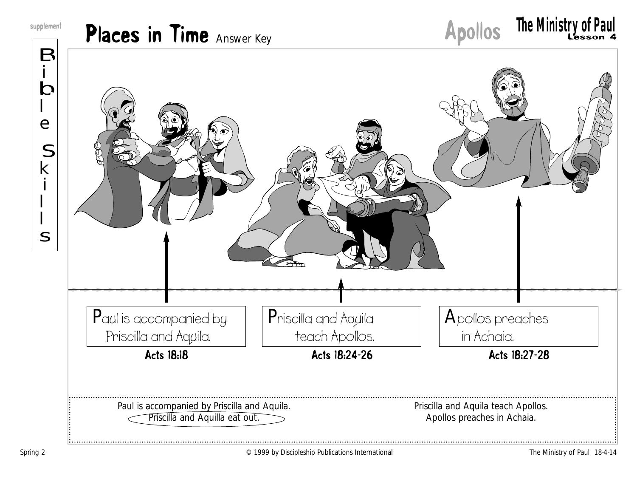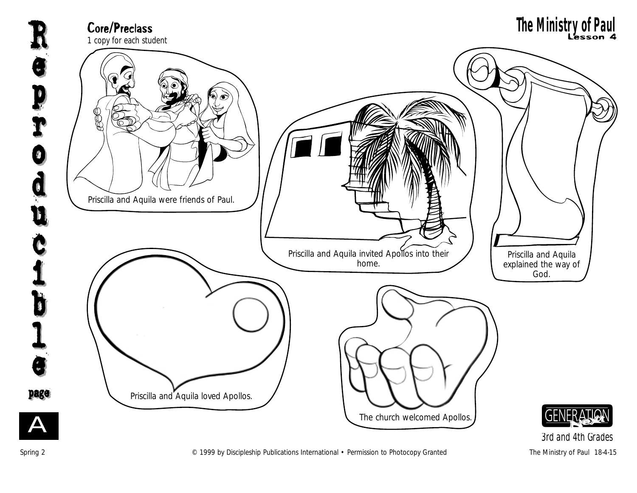

Spring 2 **Example 2** C 1999 by Discipleship Publications International • Permission to Photocopy Granted The Ministry of Paul 18-4-15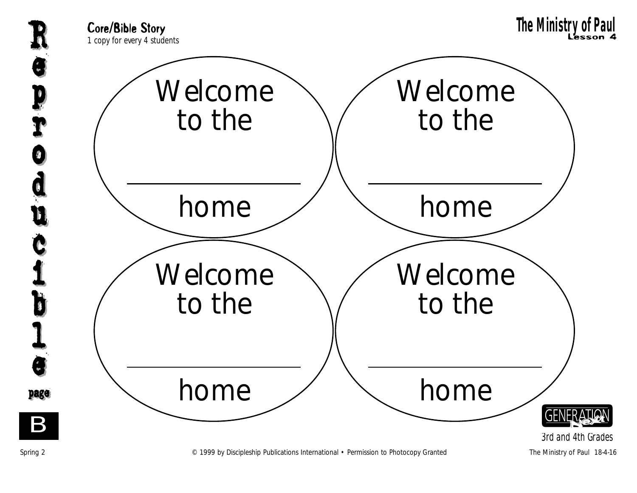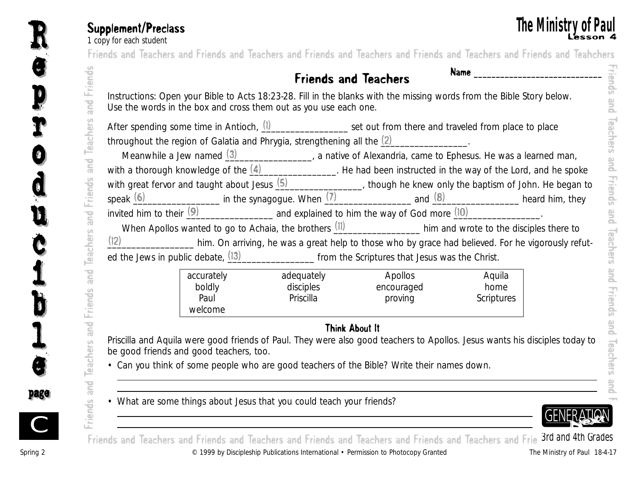e

e

R

p

p

r

r

o

o

d

d

u

u

c

Č

i

i

b

b

 $\mathbf I$ 

l

e

e

page page

**The IVIINISTLY OF PAUL**<br>The MINISTLY OF PAUL<br>Friends and Teachers and Friends and Teachers and Friends and Teachers and Friends and Teachers and Friends and Teachers Friends and Teachers and Friends and Teachers and Friends and Teachers and Friends and Teachers and Friends and Teahchers

### Friends and Teachers Name **\_\_\_\_\_\_\_\_\_\_\_\_\_\_\_\_\_\_\_\_\_\_\_\_\_\_\_\_\_**

|                                                                         |            | After spending some time in Antioch, (1) _______________ set out from there and traveled from place to place                      |                           |  |
|-------------------------------------------------------------------------|------------|-----------------------------------------------------------------------------------------------------------------------------------|---------------------------|--|
| throughout the region of Galatia and Phrygia, strengthening all the (2) |            |                                                                                                                                   |                           |  |
|                                                                         |            | Meanwhile a Jew named $(3)$ $\qquad \qquad$ a native of Alexandria, came to Ephesus. He was a learned man,                        |                           |  |
|                                                                         |            | with a thorough knowledge of the $\frac{(4)$ He had been instructed in the way of the Lord, and he spoke                          |                           |  |
|                                                                         |            | with great fervor and taught about Jesus $(5)$ ( $\overline{\hspace{1cm}}$ , though he knew only the baptism of John. He began to |                           |  |
|                                                                         |            | speak $(6)$ heard him, they in the synagogue. When $(7)$ and $(8)$ and $(8)$ heard him, they                                      |                           |  |
|                                                                         |            | invited him to their $(9)$ and explained to him the way of God more $(10)$                                                        |                           |  |
|                                                                         |            | When Apollos wanted to go to Achaia, the brothers $(11)$ him and wrote to the disciples there to                                  |                           |  |
|                                                                         |            | (12) ________________ him. On arriving, he was a great help to those who by grace had believed. For he vigorously refut-          |                           |  |
|                                                                         |            | ed the Jews in public debate, $(13)$ [3] [67] [67] [67] [67] from the Scriptures that Jesus was the Christ.                       |                           |  |
| accurately                                                              | adequately | Apollos                                                                                                                           | Aquila                    |  |
| boldly<br>Paul                                                          | Priscilla  | disciples encouraged<br>proving                                                                                                   | home<br><b>Scriptures</b> |  |
| welcome                                                                 |            |                                                                                                                                   |                           |  |
|                                                                         |            | Think About It                                                                                                                    |                           |  |
|                                                                         |            | Priscilla and Aquila were good friends of Paul. They were also good teachers to Apollos. Jesus wants his disciples today to       |                           |  |
| be good friends and good teachers, too.                                 |            |                                                                                                                                   |                           |  |
|                                                                         |            | • Can you think of some people who are good teachers of the Bible? Write their names down.                                        |                           |  |
|                                                                         |            |                                                                                                                                   |                           |  |
|                                                                         |            |                                                                                                                                   |                           |  |

#### Think About It



Spring 2 © 1999 by Discipleship Publications International • Permission to Photocopy Granted The Ministry of Paul 18-4-17 Friends and Teachers and Friends and Teachers and Friends and Teachers and Friends and Teachers and Frie 3rd and 4th Grades

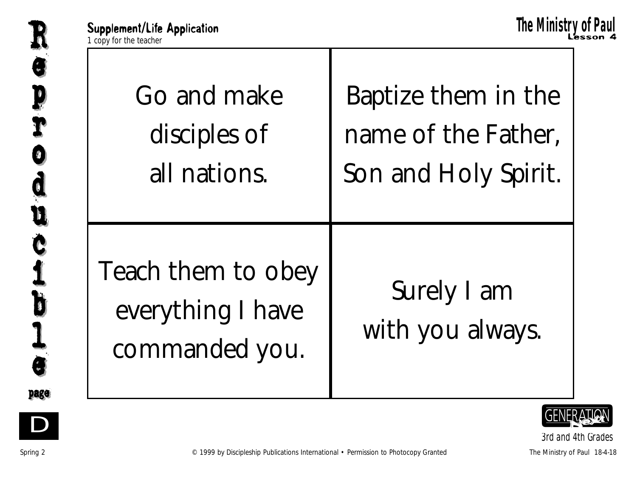



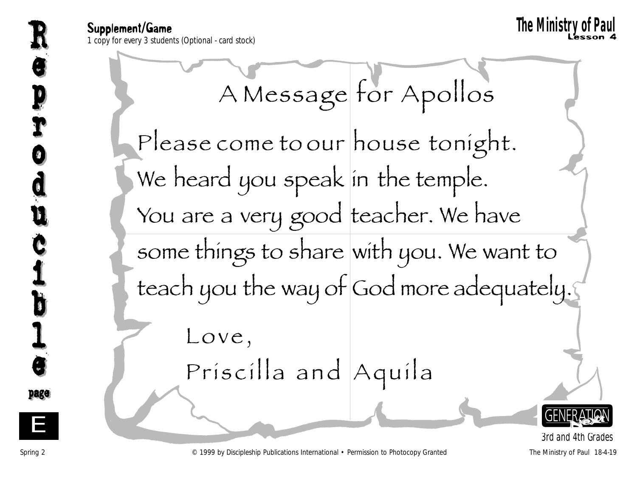Supplement/Game Supplement/Game **11 copy for every 3 students (Optional - card stock)** Lesson 4 and the students (Optional - card stock) Lesson 4 and the students (Optional - card stock) Lesson 4 and the students (Optional - card stock) L **The Ministry of Paul**<br>The Ministry of Paul Resson 4<br>The Ministry of Paul Resson 4

A Message for Apollos Please come to our house tonight. We heard you speak in the temple. You are a very good teacher. We have some things to share with you. We want to teach you the way of God more adequately. Love, Priscilla and Aquila



*3rd and 4th Grades*

Spring 2 © 1999 by Discipleship Publications International • Permission to Photocopy Granted The Ministry of Paul 18-4-19